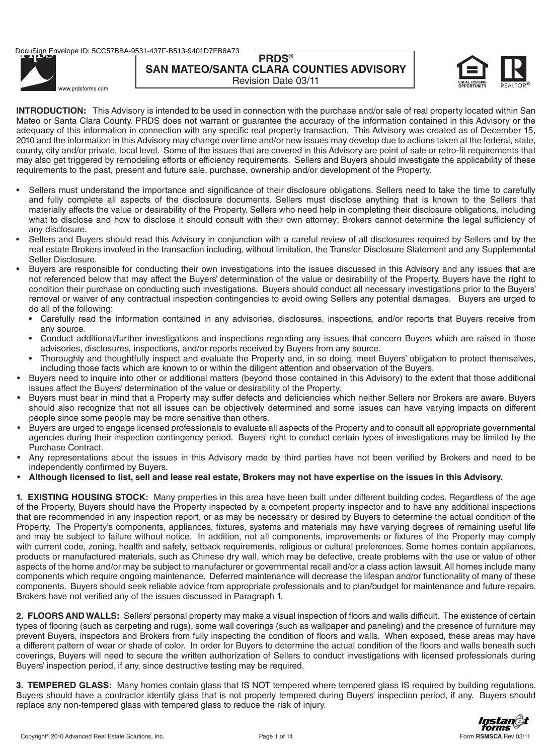# **PRDS® SAN MATEO/SANTA CLARA COUNTIES ADVISORY** Revision Date 03/11



www.prdsforms.com

**INTRODUCTION:** This Advisory is intended to be used in connection with the purchase and/or sale of real property located within San Mateo or Santa Clara County. PRDS does not warrant or guarantee the accuracy of the information contained in this Advisory or the adequacy of this information in connection with any specific real property transaction. This Advisory was created as of December 15, 2010 and the information in this Advisory may change over time and/or new issues may develop due to actions taken at the federal, state, county, city and/or private, local level. Some of the issues that are covered in this Advisory are point of sale or retro-fit requirements that may also get triggered by remodeling efforts or efficiency requirements. Sellers and Buyers should investigate the applicability of these requirements to the past, present and future sale, purchase, ownership and/or development of the Property.

- Sellers must understand the importance and significance of their disclosure obligations. Sellers need to take the time to carefully and fully complete all aspects of the disclosure documents. Sellers must disclose anything that is known to the Sellers that materially affects the value or desirability of the Property. Sellers who need help in completing their disclosure obligations, including what to disclose and how to disclose it should consult with their own attorney; Brokers cannot determine the legal sufficiency of any disclosure.
- Sellers and Buyers should read this Advisory in conjunction with a careful review of all disclosures required by Sellers and by the real estate Brokers involved in the transaction including, without limitation, the Transfer Disclosure Statement and any Supplemental Seller Disclosure.
- Buyers are responsible for conducting their own investigations into the issues discussed in this Advisory and any issues that are not referenced below that may affect the Buyers' determination of the value or desirability of the Property. Buyers have the right to condition their purchase on conducting such investigations. Buyers should conduct all necessary investigations prior to the Buyers' removal or waiver of any contractual inspection contingencies to avoid owing Sellers any potential damages. Buyers are urged to do all of the following:
	- Carefully read the information contained in any advisories, disclosures, inspections, and/or reports that Buyers receive from any source.
	- Conduct additional/further investigations and inspections regarding any issues that concern Buyers which are raised in those advisories, disclosures, inspections, and/or reports received by Buyers from any source.
	- Thoroughly and thoughtfully inspect and evaluate the Property and, in so doing, meet Buyers' obligation to protect themselves, including those facts which are known to or within the diligent attention and observation of the Buyers.
- Buyers need to inquire into other or additional matters (beyond those contained in this Advisory) to the extent that those additional issues affect the Buyers' determination of the value or desirability of the Property.
- Buyers must bear in mind that a Property may suffer defects and deficiencies which neither Sellers nor Brokers are aware. Buyers should also recognize that not all issues can be objectively determined and some issues can have varying impacts on different people since some people may be more sensitive than others.
- Buyers are urged to engage licensed professionals to evaluate all aspects of the Property and to consult all appropriate governmental agencies during their inspection contingency period. Buyers' right to conduct certain types of investigations may be limited by the Purchase Contract.
- Any representations about the issues in this Advisory made by third parties have not been verified by Brokers and need to be independently confirmed by Buyers.
- Although licensed to list, sell and lease real estate, Brokers may not have expertise on the issues in this Advisory.

**1. EXISTING HOUSING STOCK:** Many properties in this area have been built under different building codes. Regardless of the age of the Property, Buyers should have the Property inspected by a competent property inspector and to have any additional inspections that are recommended in any inspection report, or as may be necessary or desired by Buyers to determine the actual condition of the Property. The Property's components, appliances, fixtures, systems and materials may have varying degrees of remaining useful life and may be subject to failure without notice. In addition, not all components, improvements or fixtures of the Property may comply with current code, zoning, health and safety, setback requirements, religious or cultural preferences. Some homes contain appliances, products or manufactured materials, such as Chinese dry wall, which may be defective, create problems with the use or value of other aspects of the home and/or may be subject to manufacturer or governmental recall and/or a class action lawsuit. All homes include many components which require ongoing maintenance. Deferred maintenance will decrease the lifespan and/or functionality of many of these components. Buyers should seek reliable advice from appropriate professionals and to plan/budget for maintenance and future repairs. Brokers have not verified any of the issues discussed in Paragraph 1.

**2. FLOORS AND WALLS:** Sellers' personal property may make a visual inspection of floors and walls difficult. The existence of certain types of flooring (such as carpeting and rugs), some wall coverings (such as wallpaper and paneling) and the presence of furniture may prevent Buyers, inspectors and Brokers from fully inspecting the condition of floors and walls. When exposed, these areas may have a different pattern of wear or shade of color. In order for Buyers to determine the actual condition of the floors and walls beneath such coverings, Buyers will need to secure the written authorization of Sellers to conduct investigations with licensed professionals during Buyers' inspection period, if any, since destructive testing may be required.

**3. TEMPERED GLASS:** Many homes contain glass that IS NOT tempered where tempered glass IS required by building regulations. Buyers should have a contractor identify glass that is not properly tempered during Buyers' inspection period, if any. Buyers should replace any non-tempered glass with tempered glass to reduce the risk of injury.

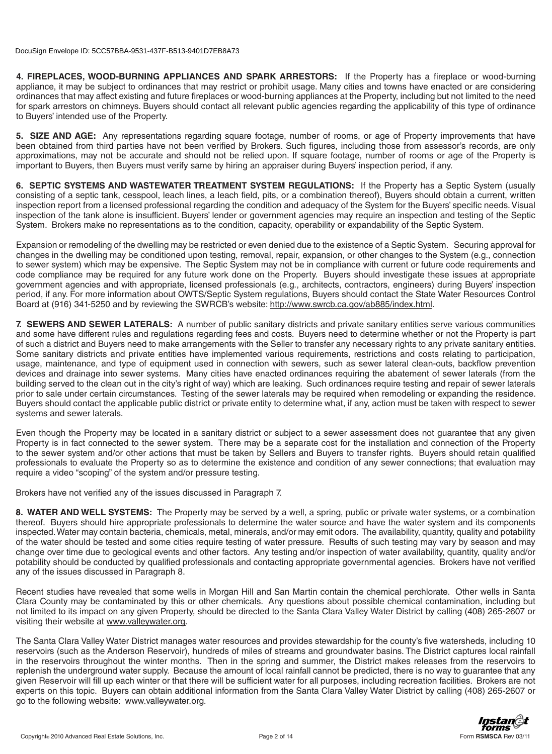**4. FIREPLACES, WOOD-BURNING APPLIANCES AND SPARK ARRESTORS:** If the Property has a fireplace or wood-burning appliance, it may be subject to ordinances that may restrict or prohibit usage. Many cities and towns have enacted or are considering ordinances that may affect existing and future fireplaces or wood-burning appliances at the Property, including but not limited to the need for spark arrestors on chimneys. Buyers should contact all relevant public agencies regarding the applicability of this type of ordinance to Buyers' intended use of the Property.

**5. SIZE AND AGE:** Any representations regarding square footage, number of rooms, or age of Property improvements that have been obtained from third parties have not been verified by Brokers. Such figures, including those from assessor's records, are only approximations, may not be accurate and should not be relied upon. If square footage, number of rooms or age of the Property is important to Buyers, then Buyers must verify same by hiring an appraiser during Buyers' inspection period, if any.

**6. SEPTIC SYSTEMS AND WASTEWATER TREATMENT SYSTEM REGULATIONS:** If the Property has a Septic System (usually consisting of a septic tank, cesspool, leach lines, a leach field, pits, or a combination thereof), Buyers should obtain a current, written inspection report from a licensed professional regarding the condition and adequacy of the System for the Buyers' specific needs. Visual inspection of the tank alone is insufficient. Buyers' lender or government agencies may require an inspection and testing of the Septic System. Brokers make no representations as to the condition, capacity, operability or expandability of the Septic System.

Expansion or remodeling of the dwelling may be restricted or even denied due to the existence of a Septic System. Securing approval for changes in the dwelling may be conditioned upon testing, removal, repair, expansion, or other changes to the System (e.g., connection to sewer system) which may be expensive. The Septic System may not be in compliance with current or future code requirements and code compliance may be required for any future work done on the Property. Buyers should investigate these issues at appropriate government agencies and with appropriate, licensed professionals (e.g., architects, contractors, engineers) during Buyers' inspection period, if any. For more information about OWTS/Septic System regulations, Buyers should contact the State Water Resources Control Board at (916) 341-5250 and by reviewing the SWRCB's website: http://www.swrcb.ca.gov/ab885/index.html.

**7. SEWERS AND SEWER LATERALS:** A number of public sanitary districts and private sanitary entities serve various communities and some have different rules and regulations regarding fees and costs. Buyers need to determine whether or not the Property is part of such a district and Buyers need to make arrangements with the Seller to transfer any necessary rights to any private sanitary entities. Some sanitary districts and private entities have implemented various requirements, restrictions and costs relating to participation, usage, maintenance, and type of equipment used in connection with sewers, such as sewer lateral clean-outs, backflow prevention devices and drainage into sewer systems. Many cities have enacted ordinances requiring the abatement of sewer laterals (from the building served to the clean out in the city's right of way) which are leaking. Such ordinances require testing and repair of sewer laterals prior to sale under certain circumstances. Testing of the sewer laterals may be required when remodeling or expanding the residence. Buyers should contact the applicable public district or private entity to determine what, if any, action must be taken with respect to sewer systems and sewer laterals.

Even though the Property may be located in a sanitary district or subject to a sewer assessment does not guarantee that any given Property is in fact connected to the sewer system. There may be a separate cost for the installation and connection of the Property to the sewer system and/or other actions that must be taken by Sellers and Buyers to transfer rights. Buyers should retain qualified professionals to evaluate the Property so as to determine the existence and condition of any sewer connections; that evaluation may require a video "scoping" of the system and/or pressure testing.

Brokers have not verified any of the issues discussed in Paragraph 7.

**8. WATER AND WELL SYSTEMS:** The Property may be served by a well, a spring, public or private water systems, or a combination thereof. Buyers should hire appropriate professionals to determine the water source and have the water system and its components inspected. Water may contain bacteria, chemicals, metal, minerals, and/or may emit odors. The availability, quantity, quality and potability of the water should be tested and some cities require testing of water pressure. Results of such testing may vary by season and may change over time due to geological events and other factors. Any testing and/or inspection of water availability, quantity, quality and/or potability should be conducted by qualified professionals and contacting appropriate governmental agencies. Brokers have not verified any of the issues discussed in Paragraph 8.

Recent studies have revealed that some wells in Morgan Hill and San Martin contain the chemical perchlorate. Other wells in Santa Clara County may be contaminated by this or other chemicals. Any questions about possible chemical contamination, including but not limited to its impact on any given Property, should be directed to the Santa Clara Valley Water District by calling (408) 265-2607 or visiting their website at www.valleywater.org.

The Santa Clara Valley Water District manages water resources and provides stewardship for the county's five watersheds, including 10 reservoirs (such as the Anderson Reservoir), hundreds of miles of streams and groundwater basins. The District captures local rainfall in the reservoirs throughout the winter months. Then in the spring and summer, the District makes releases from the reservoirs to replenish the underground water supply. Because the amount of local rainfall cannot be predicted, there is no way to guarantee that any given Reservoir will fill up each winter or that there will be sufficient water for all purposes, including recreation facilities. Brokers are not experts on this topic. Buyers can obtain additional information from the Santa Clara Valley Water District by calling (408) 265-2607 or go to the following website: www.valleywater.org.

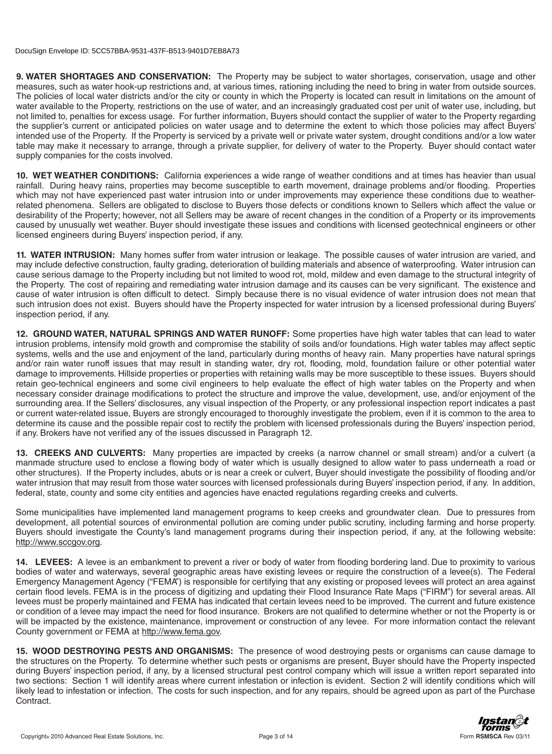**9. WATER SHORTAGES AND CONSERVATION:** The Property may be subject to water shortages, conservation, usage and other measures, such as water hook-up restrictions and, at various times, rationing including the need to bring in water from outside sources. The policies of local water districts and/or the city or county in which the Property is located can result in limitations on the amount of water available to the Property, restrictions on the use of water, and an increasingly graduated cost per unit of water use, including, but not limited to, penalties for excess usage. For further information, Buyers should contact the supplier of water to the Property regarding the supplier's current or anticipated policies on water usage and to determine the extent to which those policies may affect Buyers' intended use of the Property. If the Property is serviced by a private well or private water system, drought conditions and/or a low water table may make it necessary to arrange, through a private supplier, for delivery of water to the Property. Buyer should contact water supply companies for the costs involved.

**10. WET WEATHER CONDITIONS:** California experiences a wide range of weather conditions and at times has heavier than usual rainfall. During heavy rains, properties may become susceptible to earth movement, drainage problems and/or flooding. Properties which may not have experienced past water intrusion into or under improvements may experience these conditions due to weatherrelated phenomena. Sellers are obligated to disclose to Buyers those defects or conditions known to Sellers which affect the value or desirability of the Property; however, not all Sellers may be aware of recent changes in the condition of a Property or its improvements caused by unusually wet weather. Buyer should investigate these issues and conditions with licensed geotechnical engineers or other licensed engineers during Buyers' inspection period, if any.

**11. WATER INTRUSION:** Many homes suffer from water intrusion or leakage. The possible causes of water intrusion are varied, and may include defective construction, faulty grading, deterioration of building materials and absence of waterproofing. Water intrusion can cause serious damage to the Property including but not limited to wood rot, mold, mildew and even damage to the structural integrity of the Property. The cost of repairing and remediating water intrusion damage and its causes can be very significant. The existence and cause of water intrusion is often difficult to detect. Simply because there is no visual evidence of water intrusion does not mean that such intrusion does not exist. Buyers should have the Property inspected for water intrusion by a licensed professional during Buyers' inspection period, if any.

**12. GROUND WATER, NATURAL SPRINGS AND WATER RUNOFF:** Some properties have high water tables that can lead to water intrusion problems, intensify mold growth and compromise the stability of soils and/or foundations. High water tables may affect septic systems, wells and the use and enjoyment of the land, particularly during months of heavy rain. Many properties have natural springs and/or rain water runoff issues that may result in standing water, dry rot, flooding, mold, foundation failure or other potential water damage to improvements. Hillside properties or properties with retaining walls may be more susceptible to these issues. Buyers should retain geo-technical engineers and some civil engineers to help evaluate the effect of high water tables on the Property and when necessary consider drainage modifications to protect the structure and improve the value, development, use, and/or enjoyment of the surrounding area. If the Sellers' disclosures, any visual inspection of the Property, or any professional inspection report indicates a past or current water-related issue, Buyers are strongly encouraged to thoroughly investigate the problem, even if it is common to the area to determine its cause and the possible repair cost to rectify the problem with licensed professionals during the Buyers' inspection period, if any. Brokers have not verified any of the issues discussed in Paragraph 12.

**13. CREEKS AND CULVERTS:** Many properties are impacted by creeks (a narrow channel or small stream) and/or a culvert (a manmade structure used to enclose a flowing body of water which is usually designed to allow water to pass underneath a road or other structures). If the Property includes, abuts or is near a creek or culvert, Buyer should investigate the possibility of flooding and/or water intrusion that may result from those water sources with licensed professionals during Buyers' inspection period, if any. In addition, federal, state, county and some city entities and agencies have enacted regulations regarding creeks and culverts.

Some municipalities have implemented land management programs to keep creeks and groundwater clean. Due to pressures from development, all potential sources of environmental pollution are coming under public scrutiny, including farming and horse property. Buyers should investigate the County's land management programs during their inspection period, if any, at the following website: http://www.sccgov.org.

**14. LEVEES:** A levee is an embankment to prevent a river or body of water from flooding bordering land. Due to proximity to various bodies of water and waterways, several geographic areas have existing levees or require the construction of a levee(s). The Federal Emergency Management Agency ("FEMA") is responsible for certifying that any existing or proposed levees will protect an area against certain flood levels. FEMA is in the process of digitizing and updating their Flood Insurance Rate Maps ("FIRM") for several areas. All levees must be properly maintained and FEMA has indicated that certain levees need to be improved. The current and future existence or condition of a levee may impact the need for flood insurance. Brokers are not qualified to determine whether or not the Property is or will be impacted by the existence, maintenance, improvement or construction of any levee. For more information contact the relevant County government or FEMA at http://www.fema.gov.

**15. WOOD DESTROYING PESTS AND ORGANISMS:** The presence of wood destroying pests or organisms can cause damage to the structures on the Property. To determine whether such pests or organisms are present, Buyer should have the Property inspected during Buyers' inspection period, if any, by a licensed structural pest control company which will issue a written report separated into two sections: Section 1 will identify areas where current infestation or infection is evident. Section 2 will identify conditions which will likely lead to infestation or infection. The costs for such inspection, and for any repairs, should be agreed upon as part of the Purchase Contract.

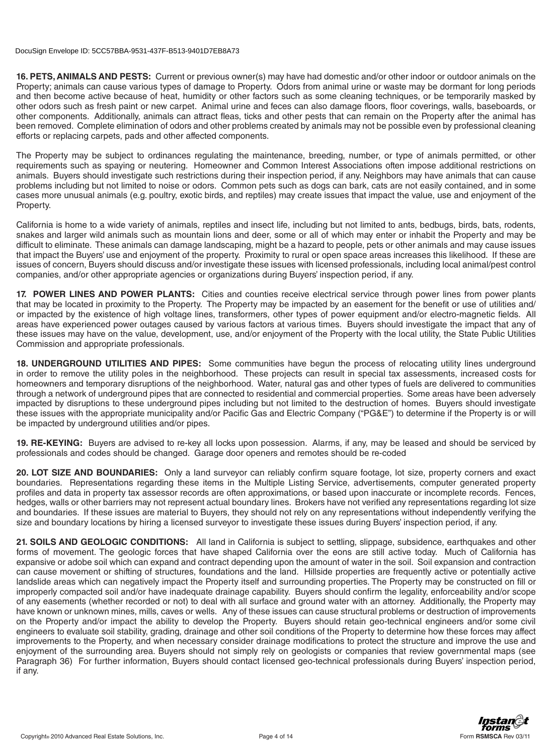**16. PETS, ANIMALS AND PESTS:** Current or previous owner(s) may have had domestic and/or other indoor or outdoor animals on the Property; animals can cause various types of damage to Property. Odors from animal urine or waste may be dormant for long periods and then become active because of heat, humidity or other factors such as some cleaning techniques, or be temporarily masked by other odors such as fresh paint or new carpet. Animal urine and feces can also damage floors, floor coverings, walls, baseboards, or other components. Additionally, animals can attract fleas, ticks and other pests that can remain on the Property after the animal has been removed. Complete elimination of odors and other problems created by animals may not be possible even by professional cleaning efforts or replacing carpets, pads and other affected components.

The Property may be subject to ordinances regulating the maintenance, breeding, number, or type of animals permitted, or other requirements such as spaying or neutering. Homeowner and Common Interest Associations often impose additional restrictions on animals. Buyers should investigate such restrictions during their inspection period, if any. Neighbors may have animals that can cause problems including but not limited to noise or odors. Common pets such as dogs can bark, cats are not easily contained, and in some cases more unusual animals (e.g. poultry, exotic birds, and reptiles) may create issues that impact the value, use and enjoyment of the Property.

California is home to a wide variety of animals, reptiles and insect life, including but not limited to ants, bedbugs, birds, bats, rodents, snakes and larger wild animals such as mountain lions and deer, some or all of which may enter or inhabit the Property and may be difficult to eliminate. These animals can damage landscaping, might be a hazard to people, pets or other animals and may cause issues that impact the Buyers' use and enjoyment of the property. Proximity to rural or open space areas increases this likelihood. If these are issues of concern, Buyers should discuss and/or investigate these issues with licensed professionals, including local animal/pest control companies, and/or other appropriate agencies or organizations during Buyers' inspection period, if any.

**17. POWER LINES AND POWER PLANTS:** Cities and counties receive electrical service through power lines from power plants that may be located in proximity to the Property. The Property may be impacted by an easement for the benefit or use of utilities and/ or impacted by the existence of high voltage lines, transformers, other types of power equipment and/or electro-magnetic fields. All areas have experienced power outages caused by various factors at various times. Buyers should investigate the impact that any of these issues may have on the value, development, use, and/or enjoyment of the Property with the local utility, the State Public Utilities Commission and appropriate professionals.

**18. UNDERGROUND UTILITIES AND PIPES:** Some communities have begun the process of relocating utility lines underground in order to remove the utility poles in the neighborhood. These projects can result in special tax assessments, increased costs for homeowners and temporary disruptions of the neighborhood. Water, natural gas and other types of fuels are delivered to communities through a network of underground pipes that are connected to residential and commercial properties. Some areas have been adversely impacted by disruptions to these underground pipes including but not limited to the destruction of homes. Buyers should investigate these issues with the appropriate municipality and/or Pacific Gas and Electric Company ("PG&E") to determine if the Property is or will be impacted by underground utilities and/or pipes.

**19. RE-KEYING:** Buyers are advised to re-key all locks upon possession. Alarms, if any, may be leased and should be serviced by professionals and codes should be changed. Garage door openers and remotes should be re-coded

**20. LOT SIZE AND BOUNDARIES:** Only a land surveyor can reliably confirm square footage, lot size, property corners and exact boundaries. Representations regarding these items in the Multiple Listing Service, advertisements, computer generated property profiles and data in property tax assessor records are often approximations, or based upon inaccurate or incomplete records. Fences, hedges, walls or other barriers may not represent actual boundary lines. Brokers have not verified any representations regarding lot size and boundaries. If these issues are material to Buyers, they should not rely on any representations without independently verifying the size and boundary locations by hiring a licensed surveyor to investigate these issues during Buyers' inspection period, if any.

**21. SOILS AND GEOLOGIC CONDITIONS:** All land in California is subject to settling, slippage, subsidence, earthquakes and other forms of movement. The geologic forces that have shaped California over the eons are still active today. Much of California has expansive or adobe soil which can expand and contract depending upon the amount of water in the soil. Soil expansion and contraction can cause movement or shifting of structures, foundations and the land. Hillside properties are frequently active or potentially active landslide areas which can negatively impact the Property itself and surrounding properties. The Property may be constructed on fill or improperly compacted soil and/or have inadequate drainage capability. Buyers should confirm the legality, enforceability and/or scope of any easements (whether recorded or not) to deal with all surface and ground water with an attorney. Additionally, the Property may have known or unknown mines, mills, caves or wells. Any of these issues can cause structural problems or destruction of improvements on the Property and/or impact the ability to develop the Property. Buyers should retain geo-technical engineers and/or some civil engineers to evaluate soil stability, grading, drainage and other soil conditions of the Property to determine how these forces may affect improvements to the Property, and when necessary consider drainage modifications to protect the structure and improve the use and enjoyment of the surrounding area. Buyers should not simply rely on geologists or companies that review governmental maps (see Paragraph 36) For further information, Buyers should contact licensed geo-technical professionals during Buyers' inspection period, if any.

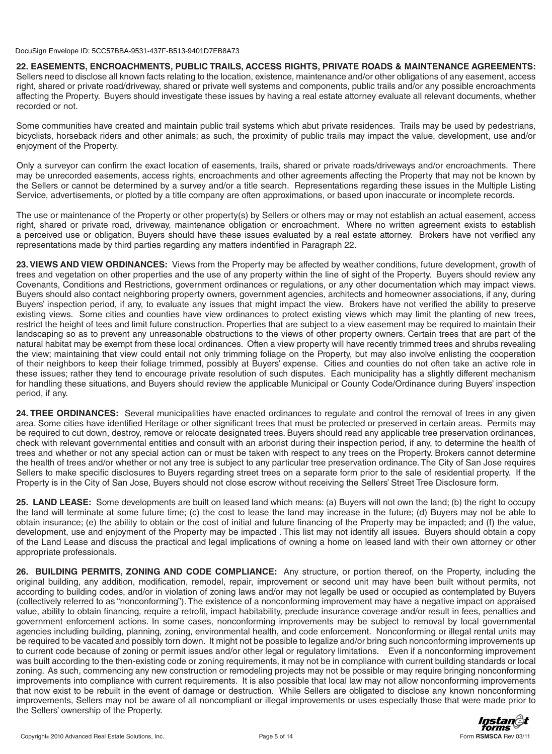**22. EASEMENTS, ENCROACHMENTS, PUBLIC TRAILS, ACCESS RIGHTS, PRIVATE ROADS & MAINTENANCE AGREEMENTS:**  Sellers need to disclose all known facts relating to the location, existence, maintenance and/or other obligations of any easement, access right, shared or private road/driveway, shared or private well systems and components, public trails and/or any possible encroachments affecting the Property. Buyers should investigate these issues by having a real estate attorney evaluate all relevant documents, whether recorded or not.

Some communities have created and maintain public trail systems which abut private residences. Trails may be used by pedestrians, bicyclists, horseback riders and other animals; as such, the proximity of public trails may impact the value, development, use and/or enjoyment of the Property.

Only a surveyor can confirm the exact location of easements, trails, shared or private roads/driveways and/or encroachments. There may be unrecorded easements, access rights, encroachments and other agreements affecting the Property that may not be known by the Sellers or cannot be determined by a survey and/or a title search. Representations regarding these issues in the Multiple Listing Service, advertisements, or plotted by a title company are often approximations, or based upon inaccurate or incomplete records.

The use or maintenance of the Property or other property(s) by Sellers or others may or may not establish an actual easement, access right, shared or private road, driveway, maintenance obligation or encroachment. Where no written agreement exists to establish a perceived use or obligation, Buyers should have these issues evaluated by a real estate attorney. Brokers have not verified any representations made by third parties regarding any matters indentified in Paragraph 22.

**23. VIEWS AND VIEW ORDINANCES:** Views from the Property may be affected by weather conditions, future development, growth of trees and vegetation on other properties and the use of any property within the line of sight of the Property. Buyers should review any Covenants, Conditions and Restrictions, government ordinances or regulations, or any other documentation which may impact views. Buyers should also contact neighboring property owners, government agencies, architects and homeowner associations, if any, during Buyers' inspection period, if any, to evaluate any issues that might impact the view. Brokers have not verified the ability to preserve existing views. Some cities and counties have view ordinances to protect existing views which may limit the planting of new trees, restrict the height of tees and limit future construction. Properties that are subject to a view easement may be required to maintain their landscaping so as to prevent any unreasonable obstructions to the views of other property owners. Certain trees that are part of the natural habitat may be exempt from these local ordinances. Often a view property will have recently trimmed trees and shrubs revealing the view; maintaining that view could entail not only trimming foliage on the Property, but may also involve enlisting the cooperation of their neighbors to keep their foliage trimmed, possibly at Buyers' expense. Cities and counties do not often take an active role in these issues; rather they tend to encourage private resolution of such disputes. Each municipality has a slightly different mechanism for handling these situations, and Buyers should review the applicable Municipal or County Code/Ordinance during Buyers' inspection period, if any.

**24. TREE ORDINANCES:** Several municipalities have enacted ordinances to regulate and control the removal of trees in any given area. Some cities have identified Heritage or other significant trees that must be protected or preserved in certain areas. Permits may be required to cut down, destroy, remove or relocate designated trees. Buyers should read any applicable tree preservation ordinances, check with relevant governmental entities and consult with an arborist during their inspection period, if any, to determine the health of trees and whether or not any special action can or must be taken with respect to any trees on the Property. Brokers cannot determine the health of trees and/or whether or not any tree is subject to any particular tree preservation ordinance. The City of San Jose requires Sellers to make specific disclosures to Buyers regarding street trees on a separate form prior to the sale of residential property. If the Property is in the City of San Jose, Buyers should not close escrow without receiving the Sellers' Street Tree Disclosure form.

**25. LAND LEASE:** Some developments are built on leased land which means: (a) Buyers will not own the land; (b) the right to occupy the land will terminate at some future time; (c) the cost to lease the land may increase in the future; (d) Buyers may not be able to obtain insurance; (e) the ability to obtain or the cost of initial and future financing of the Property may be impacted; and (f) the value, development, use and enjoyment of the Property may be impacted . This list may not identify all issues. Buyers should obtain a copy of the Land Lease and discuss the practical and legal implications of owning a home on leased land with their own attorney or other appropriate professionals.

**26. BUILDING PERMITS, ZONING AND CODE COMPLIANCE:** Any structure, or portion thereof, on the Property, including the original building, any addition, modification, remodel, repair, improvement or second unit may have been built without permits, not according to building codes, and/or in violation of zoning laws and/or may not legally be used or occupied as contemplated by Buyers (collectively referred to as "nonconforming"). The existence of a nonconforming improvement may have a negative impact on appraised value, ability to obtain financing, require a retrofit, impact habitability, preclude insurance coverage and/or result in fees, penalties and government enforcement actions. In some cases, nonconforming improvements may be subject to removal by local governmental agencies including building, planning, zoning, environmental health, and code enforcement. Nonconforming or illegal rental units may be required to be vacated and possibly torn down. It might not be possible to legalize and/or bring such nonconforming improvements up to current code because of zoning or permit issues and/or other legal or regulatory limitations. Even if a nonconforming improvement was built according to the then-existing code or zoning requirements, it may not be in compliance with current building standards or local zoning. As such, commencing any new construction or remodeling projects may not be possible or may require bringing nonconforming improvements into compliance with current requirements. It is also possible that local law may not allow nonconforming improvements that now exist to be rebuilt in the event of damage or destruction. While Sellers are obligated to disclose any known nonconforming improvements, Sellers may not be aware of all noncompliant or illegal improvements or uses especially those that were made prior to the Sellers' ownership of the Property.

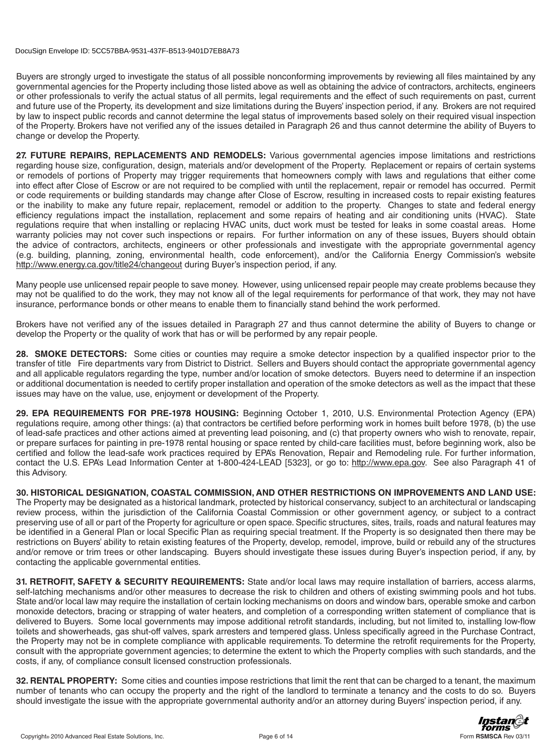Buyers are strongly urged to investigate the status of all possible nonconforming improvements by reviewing all files maintained by any governmental agencies for the Property including those listed above as well as obtaining the advice of contractors, architects, engineers or other professionals to verify the actual status of all permits, legal requirements and the effect of such requirements on past, current and future use of the Property, its development and size limitations during the Buyers' inspection period, if any. Brokers are not required by law to inspect public records and cannot determine the legal status of improvements based solely on their required visual inspection of the Property. Brokers have not verified any of the issues detailed in Paragraph 26 and thus cannot determine the ability of Buyers to change or develop the Property.

**27. FUTURE REPAIRS, REPLACEMENTS AND REMODELS:** Various governmental agencies impose limitations and restrictions regarding house size, configuration, design, materials and/or development of the Property. Replacement or repairs of certain systems or remodels of portions of Property may trigger requirements that homeowners comply with laws and regulations that either come into effect after Close of Escrow or are not required to be complied with until the replacement, repair or remodel has occurred. Permit or code requirements or building standards may change after Close of Escrow, resulting in increased costs to repair existing features or the inability to make any future repair, replacement, remodel or addition to the property. Changes to state and federal energy efficiency regulations impact the installation, replacement and some repairs of heating and air conditioning units (HVAC). State regulations require that when installing or replacing HVAC units, duct work must be tested for leaks in some coastal areas. Home warranty policies may not cover such inspections or repairs. For further information on any of these issues, Buyers should obtain the advice of contractors, architects, engineers or other professionals and investigate with the appropriate governmental agency (e.g. building, planning, zoning, environmental health, code enforcement), and/or the California Energy Commission's website http://www.energy.ca.gov/title24/changeout during Buyer's inspection period, if any.

Many people use unlicensed repair people to save money. However, using unlicensed repair people may create problems because they may not be qualified to do the work, they may not know all of the legal requirements for performance of that work, they may not have insurance, performance bonds or other means to enable them to financially stand behind the work performed.

Brokers have not verified any of the issues detailed in Paragraph 27 and thus cannot determine the ability of Buyers to change or develop the Property or the quality of work that has or will be performed by any repair people.

**28. SMOKE DETECTORS:** Some cities or counties may require a smoke detector inspection by a qualified inspector prior to the transfer of title Fire departments vary from District to District. Sellers and Buyers should contact the appropriate governmental agency and all applicable regulators regarding the type, number and/or location of smoke detectors. Buyers need to determine if an inspection or additional documentation is needed to certify proper installation and operation of the smoke detectors as well as the impact that these issues may have on the value, use, enjoyment or development of the Property.

**29. EPA REQUIREMENTS FOR PRE-1978 HOUSING:** Beginning October 1, 2010, U.S. Environmental Protection Agency (EPA) regulations require, among other things: (a) that contractors be certified before performing work in homes built before 1978, (b) the use of lead-safe practices and other actions aimed at preventing lead poisoning, and (c) that property owners who wish to renovate, repair, or prepare surfaces for painting in pre-1978 rental housing or space rented by child-care facilities must, before beginning work, also be certified and follow the lead-safe work practices required by EPA's Renovation, Repair and Remodeling rule. For further information, contact the U.S. EPA's Lead Information Center at 1-800-424-LEAD [5323], or go to: http://www.epa.gov. See also Paragraph 41 of this Advisory.

**30. HISTORICAL DESIGNATION, COASTAL COMMISSION, AND OTHER RESTRICTIONS ON IMPROVEMENTS AND LAND USE:**  The Property may be designated as a historical landmark, protected by historical conservancy, subject to an architectural or landscaping review process, within the jurisdiction of the California Coastal Commission or other government agency, or subject to a contract preserving use of all or part of the Property for agriculture or open space. Specific structures, sites, trails, roads and natural features may be identified in a General Plan or local Specific Plan as requiring special treatment. If the Property is so designated then there may be restrictions on Buyers' ability to retain existing features of the Property, develop, remodel, improve, build or rebuild any of the structures and/or remove or trim trees or other landscaping. Buyers should investigate these issues during Buyer's inspection period, if any, by contacting the applicable governmental entities.

**31. RETROFIT, SAFETY & SECURITY REQUIREMENTS:** State and/or local laws may require installation of barriers, access alarms, self-latching mechanisms and/or other measures to decrease the risk to children and others of existing swimming pools and hot tubs. State and/or local law may require the installation of certain locking mechanisms on doors and window bars, operable smoke and carbon monoxide detectors, bracing or strapping of water heaters, and completion of a corresponding written statement of compliance that is delivered to Buyers. Some local governments may impose additional retrofit standards, including, but not limited to, installing low-flow toilets and showerheads, gas shut-off valves, spark arresters and tempered glass. Unless specifically agreed in the Purchase Contract, the Property may not be in complete compliance with applicable requirements. To determine the retrofit requirements for the Property, consult with the appropriate government agencies; to determine the extent to which the Property complies with such standards, and the costs, if any, of compliance consult licensed construction professionals.

**32. RENTAL PROPERTY:** Some cities and counties impose restrictions that limit the rent that can be charged to a tenant, the maximum number of tenants who can occupy the property and the right of the landlord to terminate a tenancy and the costs to do so. Buyers should investigate the issue with the appropriate governmental authority and/or an attorney during Buyers' inspection period, if any.

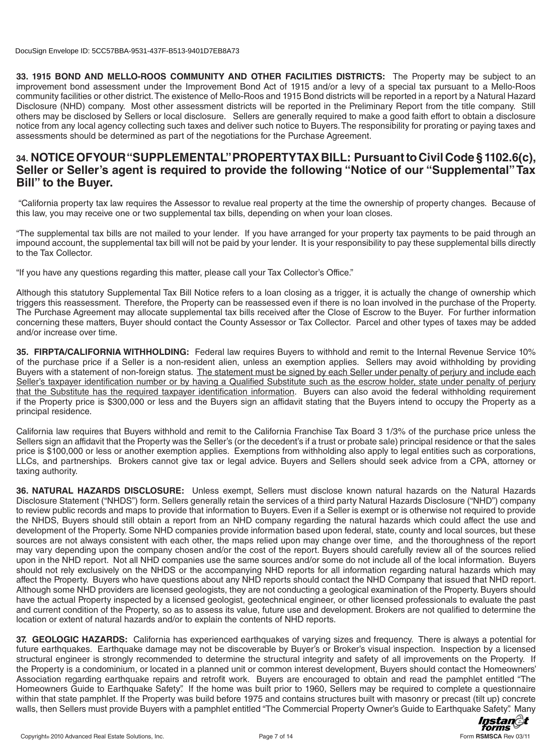**33. 1915 BOND AND MELLO-ROOS COMMUNITY AND OTHER FACILITIES DISTRICTS:** The Property may be subject to an improvement bond assessment under the Improvement Bond Act of 1915 and/or a levy of a special tax pursuant to a Mello-Roos community facilities or other district.The existence of Mello-Roos and 1915 Bond districts will be reported in a report by a Natural Hazard Disclosure (NHD) company. Most other assessment districts will be reported in the Preliminary Report from the title company. Still others may be disclosed by Sellers or local disclosure. Sellers are generally required to make a good faith effort to obtain a disclosure notice from any local agency collecting such taxes and deliver such notice to Buyers.The responsibility for prorating or paying taxes and assessments should be determined as part of the negotiations for the Purchase Agreement.

# **34. NOTICE OF YOUR "SUPPLEMENTAL" PROPERTY TAX BILL: Pursuant to Civil Code § 1102.6(c), Seller or Seller's agent is required to provide the following "Notice of our "Supplemental" Tax Bill" to the Buyer.**

"California property tax law requires the Assessor to revalue real property at the time the ownership of property changes. Because of this law, you may receive one or two supplemental tax bills, depending on when your loan closes.

"The supplemental tax bills are not mailed to your lender. If you have arranged for your property tax payments to be paid through an impound account, the supplemental tax bill will not be paid by your lender. It is your responsibility to pay these supplemental bills directly to the Tax Collector.

"If you have any questions regarding this matter, please call your Tax Collector's Office."

Although this statutory Supplemental Tax Bill Notice refers to a loan closing as a trigger, it is actually the change of ownership which triggers this reassessment. Therefore, the Property can be reassessed even if there is no loan involved in the purchase of the Property. The Purchase Agreement may allocate supplemental tax bills received after the Close of Escrow to the Buyer. For further information concerning these matters, Buyer should contact the County Assessor or Tax Collector. Parcel and other types of taxes may be added and/or increase over time.

**35. FIRPTA/CALIFORNIA WITHHOLDING:** Federal law requires Buyers to withhold and remit to the Internal Revenue Service 10% of the purchase price if a Seller is a non-resident alien, unless an exemption applies. Sellers may avoid withholding by providing Buyers with a statement of non-foreign status. The statement must be signed by each Seller under penalty of perjury and include each Seller's taxpayer identification number or by having a Qualified Substitute such as the escrow holder, state under penalty of perjury that the Substitute has the required taxpayer identification information. Buyers can also avoid the federal withholding requirement if the Property price is \$300,000 or less and the Buyers sign an affidavit stating that the Buyers intend to occupy the Property as a principal residence.

California law requires that Buyers withhold and remit to the California Franchise Tax Board 3 1/3% of the purchase price unless the Sellers sign an affidavit that the Property was the Seller's (or the decedent's if a trust or probate sale) principal residence or that the sales price is \$100,000 or less or another exemption applies. Exemptions from withholding also apply to legal entities such as corporations, LLCs, and partnerships. Brokers cannot give tax or legal advice. Buyers and Sellers should seek advice from a CPA, attorney or taxing authority.

**36. NATURAL HAZARDS DISCLOSURE:** Unless exempt, Sellers must disclose known natural hazards on the Natural Hazards Disclosure Statement ("NHDS") form. Sellers generally retain the services of a third party Natural Hazards Disclosure ("NHD") company to review public records and maps to provide that information to Buyers. Even if a Seller is exempt or is otherwise not required to provide the NHDS, Buyers should still obtain a report from an NHD company regarding the natural hazards which could affect the use and development of the Property. Some NHD companies provide information based upon federal, state, county and local sources, but these sources are not always consistent with each other, the maps relied upon may change over time, and the thoroughness of the report may vary depending upon the company chosen and/or the cost of the report. Buyers should carefully review all of the sources relied upon in the NHD report. Not all NHD companies use the same sources and/or some do not include all of the local information. Buyers should not rely exclusively on the NHDS or the accompanying NHD reports for all information regarding natural hazards which may affect the Property. Buyers who have questions about any NHD reports should contact the NHD Company that issued that NHD report. Although some NHD providers are licensed geologists, they are not conducting a geological examination of the Property. Buyers should have the actual Property inspected by a licensed geologist, geotechnical engineer, or other licensed professionals to evaluate the past and current condition of the Property, so as to assess its value, future use and development. Brokers are not qualified to determine the location or extent of natural hazards and/or to explain the contents of NHD reports.

**37. GEOLOGIC HAZARDS:** California has experienced earthquakes of varying sizes and frequency. There is always a potential for future earthquakes. Earthquake damage may not be discoverable by Buyer's or Broker's visual inspection. Inspection by a licensed structural engineer is strongly recommended to determine the structural integrity and safety of all improvements on the Property. If the Property is a condominium, or located in a planned unit or common interest development, Buyers should contact the Homeowners' Association regarding earthquake repairs and retrofit work. Buyers are encouraged to obtain and read the pamphlet entitled "The Homeowners Guide to Earthquake Safety". If the home was built prior to 1960, Sellers may be required to complete a questionnaire within that state pamphlet. If the Property was build before 1975 and contains structures built with masonry or precast (tilt up) concrete walls, then Sellers must provide Buyers with a pamphlet entitled "The Commercial Property Owner's Guide to Earthquake Safety". Many

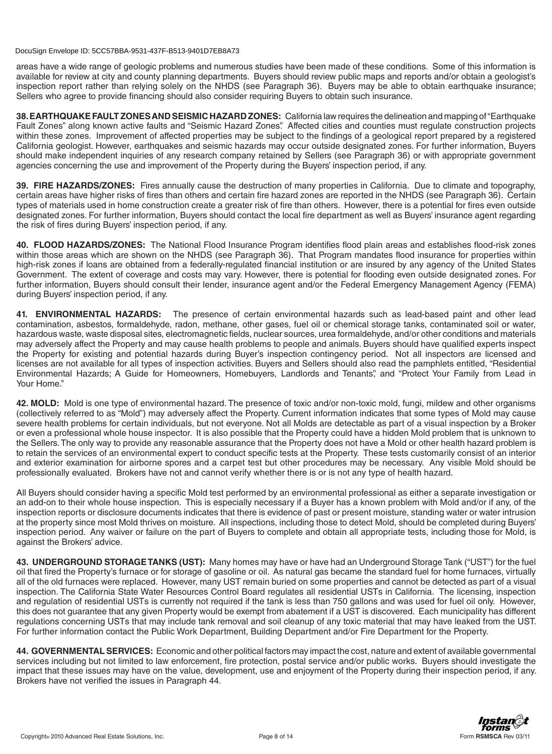areas have a wide range of geologic problems and numerous studies have been made of these conditions. Some of this information is available for review at city and county planning departments. Buyers should review public maps and reports and/or obtain a geologist's inspection report rather than relying solely on the NHDS (see Paragraph 36). Buyers may be able to obtain earthquake insurance; Sellers who agree to provide financing should also consider requiring Buyers to obtain such insurance.

**38. EARTHQUAKE FAULT ZONES AND SEISMIC HAZARD ZONES:** California law requires the delineation and mapping of "Earthquake Fault Zones" along known active faults and "Seismic Hazard Zones". Affected cities and counties must regulate construction projects within these zones. Improvement of affected properties may be subject to the findings of a geological report prepared by a registered California geologist. However, earthquakes and seismic hazards may occur outside designated zones. For further information, Buyers should make independent inquiries of any research company retained by Sellers (see Paragraph 36) or with appropriate government agencies concerning the use and improvement of the Property during the Buyers' inspection period, if any.

**39. FIRE HAZARDS/ZONES:** Fires annually cause the destruction of many properties in California. Due to climate and topography, certain areas have higher risks of fires than others and certain fire hazard zones are reported in the NHDS (see Paragraph 36). Certain types of materials used in home construction create a greater risk of fire than others. However, there is a potential for fires even outside designated zones. For further information, Buyers should contact the local fire department as well as Buyers' insurance agent regarding the risk of fires during Buyers' inspection period, if any.

**40. FLOOD HAZARDS/ZONES:** The National Flood Insurance Program identifies flood plain areas and establishes flood-risk zones within those areas which are shown on the NHDS (see Paragraph 36). That Program mandates flood insurance for properties within high-risk zones if loans are obtained from a federally-regulated financial institution or are insured by any agency of the United States Government. The extent of coverage and costs may vary. However, there is potential for flooding even outside designated zones. For further information, Buyers should consult their lender, insurance agent and/or the Federal Emergency Management Agency (FEMA) during Buyers' inspection period, if any.

**41. ENVIRONMENTAL HAZARDS:** The presence of certain environmental hazards such as lead-based paint and other lead contamination, asbestos, formaldehyde, radon, methane, other gases, fuel oil or chemical storage tanks, contaminated soil or water, hazardous waste, waste disposal sites, electromagnetic fields, nuclear sources, urea formaldehyde, and/or other conditions and materials may adversely affect the Property and may cause health problems to people and animals. Buyers should have qualified experts inspect the Property for existing and potential hazards during Buyer's inspection contingency period. Not all inspectors are licensed and licenses are not available for all types of inspection activities. Buyers and Sellers should also read the pamphlets entitled, "Residential Environmental Hazards; A Guide for Homeowners, Homebuyers, Landlords and Tenants", and "Protect Your Family from Lead in Your Home."

**42. MOLD:** Mold is one type of environmental hazard. The presence of toxic and/or non-toxic mold, fungi, mildew and other organisms (collectively referred to as "Mold") may adversely affect the Property. Current information indicates that some types of Mold may cause severe health problems for certain individuals, but not everyone. Not all Molds are detectable as part of a visual inspection by a Broker or even a professional whole house inspector. It is also possible that the Property could have a hidden Mold problem that is unknown to the Sellers. The only way to provide any reasonable assurance that the Property does not have a Mold or other health hazard problem is to retain the services of an environmental expert to conduct specific tests at the Property. These tests customarily consist of an interior and exterior examination for airborne spores and a carpet test but other procedures may be necessary. Any visible Mold should be professionally evaluated. Brokers have not and cannot verify whether there is or is not any type of health hazard.

All Buyers should consider having a specific Mold test performed by an environmental professional as either a separate investigation or an add-on to their whole house inspection. This is especially necessary if a Buyer has a known problem with Mold and/or if any, of the inspection reports or disclosure documents indicates that there is evidence of past or present moisture, standing water or water intrusion at the property since most Mold thrives on moisture. All inspections, including those to detect Mold, should be completed during Buyers' inspection period. Any waiver or failure on the part of Buyers to complete and obtain all appropriate tests, including those for Mold, is against the Brokers' advice.

**43. UNDERGROUND STORAGE TANKS (UST):** Many homes may have or have had an Underground Storage Tank ("UST") for the fuel oil that fired the Property's furnace or for storage of gasoline or oil. As natural gas became the standard fuel for home furnaces, virtually all of the old furnaces were replaced. However, many UST remain buried on some properties and cannot be detected as part of a visual inspection. The California State Water Resources Control Board regulates all residential USTs in California. The licensing, inspection and regulation of residential USTs is currently not required if the tank is less than 750 gallons and was used for fuel oil only. However, this does not guarantee that any given Property would be exempt from abatement if a UST is discovered. Each municipality has different regulations concerning USTs that may include tank removal and soil cleanup of any toxic material that may have leaked from the UST. For further information contact the Public Work Department, Building Department and/or Fire Department for the Property.

**44. GOVERNMENTAL SERVICES:** Economic and other political factors may impact the cost, nature and extent of available governmental services including but not limited to law enforcement, fire protection, postal service and/or public works. Buyers should investigate the impact that these issues may have on the value, development, use and enjoyment of the Property during their inspection period, if any. Brokers have not verified the issues in Paragraph 44.

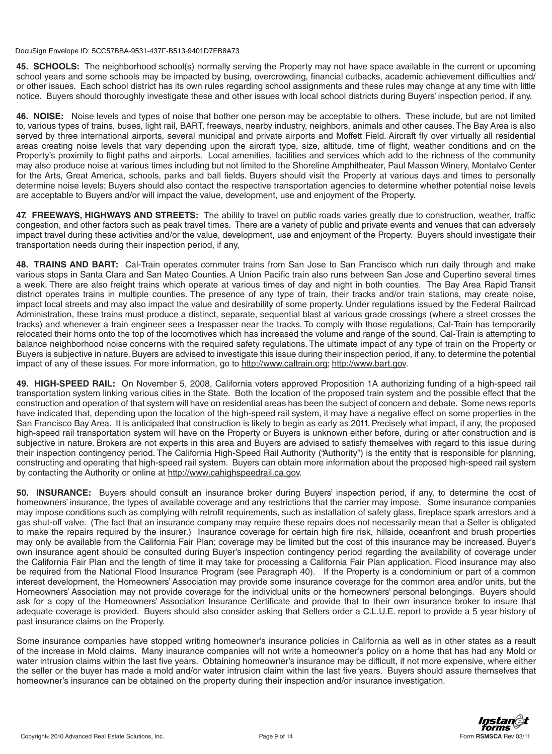**45. SCHOOLS:** The neighborhood school(s) normally serving the Property may not have space available in the current or upcoming school years and some schools may be impacted by busing, overcrowding, financial cutbacks, academic achievement difficulties and/ or other issues. Each school district has its own rules regarding school assignments and these rules may change at any time with little notice. Buyers should thoroughly investigate these and other issues with local school districts during Buyers' inspection period, if any.

**46. NOISE:** Noise levels and types of noise that bother one person may be acceptable to others. These include, but are not limited to, various types of trains, buses, light rail, BART, freeways, nearby industry, neighbors, animals and other causes. The Bay Area is also served by three international airports, several municipal and private airports and Moffett Field. Aircraft fly over virtually all residential areas creating noise levels that vary depending upon the aircraft type, size, altitude, time of flight, weather conditions and on the Property's proximity to flight paths and airports. Local amenities, facilities and services which add to the richness of the community may also produce noise at various times including but not limited to the Shoreline Amphitheater, Paul Masson Winery, Montalvo Center for the Arts, Great America, schools, parks and ball fields. Buyers should visit the Property at various days and times to personally determine noise levels; Buyers should also contact the respective transportation agencies to determine whether potential noise levels are acceptable to Buyers and/or will impact the value, development, use and enjoyment of the Property.

**47. FREEWAYS, HIGHWAYS AND STREETS:** The ability to travel on public roads varies greatly due to construction, weather, traffic congestion, and other factors such as peak travel times. There are a variety of public and private events and venues that can adversely impact travel during these activities and/or the value, development, use and enjoyment of the Property. Buyers should investigate their transportation needs during their inspection period, if any,

**48. TRAINS AND BART:** Cal-Train operates commuter trains from San Jose to San Francisco which run daily through and make various stops in Santa Clara and San Mateo Counties. A Union Pacific train also runs between San Jose and Cupertino several times a week. There are also freight trains which operate at various times of day and night in both counties. The Bay Area Rapid Transit district operates trains in multiple counties. The presence of any type of train, their tracks and/or train stations, may create noise, impact local streets and may also impact the value and desirability of some property. Under regulations issued by the Federal Railroad Administration, these trains must produce a distinct, separate, sequential blast at various grade crossings (where a street crosses the tracks) and whenever a train engineer sees a trespasser near the tracks. To comply with those regulations, Cal-Train has temporarily relocated their horns onto the top of the locomotives which has increased the volume and range of the sound. Cal-Train is attempting to balance neighborhood noise concerns with the required safety regulations. The ultimate impact of any type of train on the Property or Buyers is subjective in nature. Buyers are advised to investigate this issue during their inspection period, if any, to determine the potential impact of any of these issues. For more information, go to http://www.caltrain.org; http://www.bart.gov.

**49. HIGH-SPEED RAIL:** On November 5, 2008, California voters approved Proposition 1A authorizing funding of a high-speed rail transportation system linking various cities in the State. Both the location of the proposed train system and the possible effect that the construction and operation of that system will have on residential areas has been the subject of concern and debate. Some news reports have indicated that, depending upon the location of the high-speed rail system, it may have a negative effect on some properties in the San Francisco Bay Area. It is anticipated that construction is likely to begin as early as 2011. Precisely what impact, if any, the proposed high-speed rail transportation system will have on the Property or Buyers is unknown either before, during or after construction and is subjective in nature. Brokers are not experts in this area and Buyers are advised to satisfy themselves with regard to this issue during their inspection contingency period. The California High-Speed Rail Authority ("Authority") is the entity that is responsible for planning, constructing and operating that high-speed rail system. Buyers can obtain more information about the proposed high-speed rail system by contacting the Authority or online at http://www.cahighspeedrail.ca.gov.

**50. INSURANCE:** Buyers should consult an insurance broker during Buyers' inspection period, if any, to determine the cost of homeowners' insurance, the types of available coverage and any restrictions that the carrier may impose. Some insurance companies may impose conditions such as complying with retrofit requirements, such as installation of safety glass, fireplace spark arrestors and a gas shut-off valve. (The fact that an insurance company may require these repairs does not necessarily mean that a Seller is obligated to make the repairs required by the insurer.) Insurance coverage for certain high fire risk, hillside, oceanfront and brush properties may only be available from the California Fair Plan; coverage may be limited but the cost of this insurance may be increased. Buyer's own insurance agent should be consulted during Buyer's inspection contingency period regarding the availability of coverage under the California Fair Plan and the length of time it may take for processing a California Fair Plan application. Flood insurance may also be required from the National Flood Insurance Program (see Paragraph 40). If the Property is a condominium or part of a common interest development, the Homeowners' Association may provide some insurance coverage for the common area and/or units, but the Homeowners' Association may not provide coverage for the individual units or the homeowners' personal belongings. Buyers should ask for a copy of the Homeowners' Association Insurance Certificate and provide that to their own insurance broker to insure that adequate coverage is provided. Buyers should also consider asking that Sellers order a C.L.U.E. report to provide a 5 year history of past insurance claims on the Property.

Some insurance companies have stopped writing homeowner's insurance policies in California as well as in other states as a result of the increase in Mold claims. Many insurance companies will not write a homeowner's policy on a home that has had any Mold or water intrusion claims within the last five years. Obtaining homeowner's insurance may be difficult, if not more expensive, where either the seller or the buyer has made a mold and/or water intrusion claim within the last five years. Buyers should assure themselves that homeowner's insurance can be obtained on the property during their inspection and/or insurance investigation.

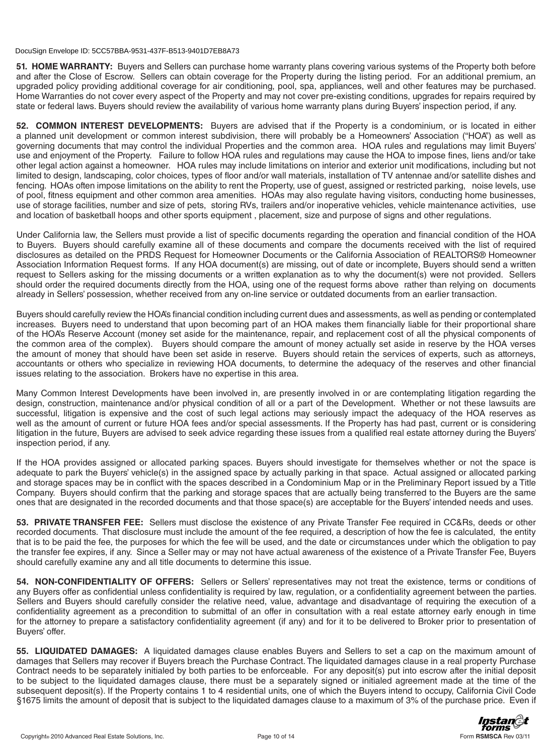**51. HOME WARRANTY:** Buyers and Sellers can purchase home warranty plans covering various systems of the Property both before and after the Close of Escrow. Sellers can obtain coverage for the Property during the listing period. For an additional premium, an upgraded policy providing additional coverage for air conditioning, pool, spa, appliances, well and other features may be purchased. Home Warranties do not cover every aspect of the Property and may not cover pre-existing conditions, upgrades for repairs required by state or federal laws. Buyers should review the availability of various home warranty plans during Buyers' inspection period, if any.

**52. COMMON INTEREST DEVELOPMENTS:** Buyers are advised that if the Property is a condominium, or is located in either a planned unit development or common interest subdivision, there will probably be a Homeowners' Association ("HOA") as well as governing documents that may control the individual Properties and the common area. HOA rules and regulations may limit Buyers' use and enjoyment of the Property. Failure to follow HOA rules and regulations may cause the HOA to impose fines, liens and/or take other legal action against a homeowner. HOA rules may include limitations on interior and exterior unit modifications, including but not limited to design, landscaping, color choices, types of floor and/or wall materials, installation of TV antennae and/or satellite dishes and fencing. HOAs often impose limitations on the ability to rent the Property, use of guest, assigned or restricted parking, noise levels, use of pool, fitness equipment and other common area amenities. HOAs may also regulate having visitors, conducting home businesses, use of storage facilities, number and size of pets, storing RVs, trailers and/or inoperative vehicles, vehicle maintenance activities, use and location of basketball hoops and other sports equipment , placement, size and purpose of signs and other regulations.

Under California law, the Sellers must provide a list of specific documents regarding the operation and financial condition of the HOA to Buyers. Buyers should carefully examine all of these documents and compare the documents received with the list of required disclosures as detailed on the PRDS Request for Homeowner Documents or the California Association of REALTORS® Homeowner Association Information Request forms. If any HOA document(s) are missing, out of date or incomplete, Buyers should send a written request to Sellers asking for the missing documents or a written explanation as to why the document(s) were not provided. Sellers should order the required documents directly from the HOA, using one of the request forms above rather than relying on documents already in Sellers' possession, whether received from any on-line service or outdated documents from an earlier transaction.

Buyers should carefully review the HOA's financial condition including current dues and assessments, as well as pending or contemplated increases. Buyers need to understand that upon becoming part of an HOA makes them financially liable for their proportional share of the HOA's Reserve Account (money set aside for the maintenance, repair, and replacement cost of all the physical components of the common area of the complex). Buyers should compare the amount of money actually set aside in reserve by the HOA verses the amount of money that should have been set aside in reserve. Buyers should retain the services of experts, such as attorneys, accountants or others who specialize in reviewing HOA documents, to determine the adequacy of the reserves and other financial issues relating to the association. Brokers have no expertise in this area.

Many Common Interest Developments have been involved in, are presently involved in or are contemplating litigation regarding the design, construction, maintenance and/or physical condition of all or a part of the Development. Whether or not these lawsuits are successful, litigation is expensive and the cost of such legal actions may seriously impact the adequacy of the HOA reserves as well as the amount of current or future HOA fees and/or special assessments. If the Property has had past, current or is considering litigation in the future, Buyers are advised to seek advice regarding these issues from a qualified real estate attorney during the Buyers' inspection period, if any.

If the HOA provides assigned or allocated parking spaces. Buyers should investigate for themselves whether or not the space is adequate to park the Buyers' vehicle(s) in the assigned space by actually parking in that space. Actual assigned or allocated parking and storage spaces may be in conflict with the spaces described in a Condominium Map or in the Preliminary Report issued by a Title Company. Buyers should confirm that the parking and storage spaces that are actually being transferred to the Buyers are the same ones that are designated in the recorded documents and that those space(s) are acceptable for the Buyers' intended needs and uses.

**53. PRIVATE TRANSFER FEE:** Sellers must disclose the existence of any Private Transfer Fee required in CC&Rs, deeds or other recorded documents. That disclosure must include the amount of the fee required, a description of how the fee is calculated, the entity that is to be paid the fee, the purposes for which the fee will be used, and the date or circumstances under which the obligation to pay the transfer fee expires, if any. Since a Seller may or may not have actual awareness of the existence of a Private Transfer Fee, Buyers should carefully examine any and all title documents to determine this issue.

**54. NON-CONFIDENTIALITY OF OFFERS:** Sellers or Sellers' representatives may not treat the existence, terms or conditions of any Buyers offer as confidential unless confidentiality is required by law, regulation, or a confidentiality agreement between the parties. Sellers and Buyers should carefully consider the relative need, value, advantage and disadvantage of requiring the execution of a confidentiality agreement as a precondition to submittal of an offer in consultation with a real estate attorney early enough in time for the attorney to prepare a satisfactory confidentiality agreement (if any) and for it to be delivered to Broker prior to presentation of Buyers' offer.

**55. LIQUIDATED DAMAGES:** A liquidated damages clause enables Buyers and Sellers to set a cap on the maximum amount of damages that Sellers may recover if Buyers breach the Purchase Contract. The liquidated damages clause in a real property Purchase Contract needs to be separately initialed by both parties to be enforceable. For any deposit(s) put into escrow after the initial deposit to be subject to the liquidated damages clause, there must be a separately signed or initialed agreement made at the time of the subsequent deposit(s). If the Property contains 1 to 4 residential units, one of which the Buyers intend to occupy, California Civil Code §1675 limits the amount of deposit that is subject to the liquidated damages clause to a maximum of 3% of the purchase price. Even if

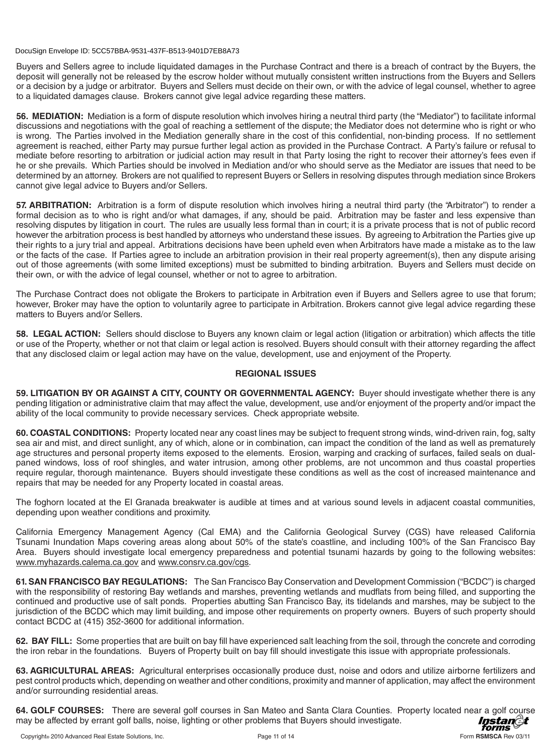Buyers and Sellers agree to include liquidated damages in the Purchase Contract and there is a breach of contract by the Buyers, the deposit will generally not be released by the escrow holder without mutually consistent written instructions from the Buyers and Sellers or a decision by a judge or arbitrator. Buyers and Sellers must decide on their own, or with the advice of legal counsel, whether to agree to a liquidated damages clause. Brokers cannot give legal advice regarding these matters.

**56. MEDIATION:** Mediation is a form of dispute resolution which involves hiring a neutral third party (the "Mediator") to facilitate informal discussions and negotiations with the goal of reaching a settlement of the dispute; the Mediator does not determine who is right or who is wrong. The Parties involved in the Mediation generally share in the cost of this confidential, non-binding process. If no settlement agreement is reached, either Party may pursue further legal action as provided in the Purchase Contract. A Party's failure or refusal to mediate before resorting to arbitration or judicial action may result in that Party losing the right to recover their attorney's fees even if he or she prevails. Which Parties should be involved in Mediation and/or who should serve as the Mediator are issues that need to be determined by an attorney. Brokers are not qualified to represent Buyers or Sellers in resolving disputes through mediation since Brokers cannot give legal advice to Buyers and/or Sellers.

**57. ARBITRATION:** Arbitration is a form of dispute resolution which involves hiring a neutral third party (the "Arbitrator") to render a formal decision as to who is right and/or what damages, if any, should be paid. Arbitration may be faster and less expensive than resolving disputes by litigation in court. The rules are usually less formal than in court; it is a private process that is not of public record however the arbitration process is best handled by attorneys who understand these issues. By agreeing to Arbitration the Parties give up their rights to a jury trial and appeal. Arbitrations decisions have been upheld even when Arbitrators have made a mistake as to the law or the facts of the case. If Parties agree to include an arbitration provision in their real property agreement(s), then any dispute arising out of those agreements (with some limited exceptions) must be submitted to binding arbitration. Buyers and Sellers must decide on their own, or with the advice of legal counsel, whether or not to agree to arbitration.

The Purchase Contract does not obligate the Brokers to participate in Arbitration even if Buyers and Sellers agree to use that forum; however, Broker may have the option to voluntarily agree to participate in Arbitration. Brokers cannot give legal advice regarding these matters to Buyers and/or Sellers.

**58. LEGAL ACTION:** Sellers should disclose to Buyers any known claim or legal action (litigation or arbitration) which affects the title or use of the Property, whether or not that claim or legal action is resolved. Buyers should consult with their attorney regarding the affect that any disclosed claim or legal action may have on the value, development, use and enjoyment of the Property.

# **REGIONAL ISSUES**

**59. LITIGATION BY OR AGAINST A CITY, COUNTY OR GOVERNMENTAL AGENCY:** Buyer should investigate whether there is any pending litigation or administrative claim that may affect the value, development, use and/or enjoyment of the property and/or impact the ability of the local community to provide necessary services. Check appropriate website.

**60. COASTAL CONDITIONS:** Property located near any coast lines may be subject to frequent strong winds, wind-driven rain, fog, salty sea air and mist, and direct sunlight, any of which, alone or in combination, can impact the condition of the land as well as prematurely age structures and personal property items exposed to the elements. Erosion, warping and cracking of surfaces, failed seals on dualpaned windows, loss of roof shingles, and water intrusion, among other problems, are not uncommon and thus coastal properties require regular, thorough maintenance. Buyers should investigate these conditions as well as the cost of increased maintenance and repairs that may be needed for any Property located in coastal areas.

The foghorn located at the El Granada breakwater is audible at times and at various sound levels in adjacent coastal communities, depending upon weather conditions and proximity.

California Emergency Management Agency (Cal EMA) and the California Geological Survey (CGS) have released California Tsunami Inundation Maps covering areas along about 50% of the state's coastline, and including 100% of the San Francisco Bay Area. Buyers should investigate local emergency preparedness and potential tsunami hazards by going to the following websites: www.myhazards.calema.ca.gov and www.consrv.ca.gov/cgs.

**61. SAN FRANCISCO BAY REGULATIONS:** The San Francisco Bay Conservation and Development Commission ("BCDC") is charged with the responsibility of restoring Bay wetlands and marshes, preventing wetlands and mudflats from being filled, and supporting the continued and productive use of salt ponds. Properties abutting San Francisco Bay, its tidelands and marshes, may be subject to the jurisdiction of the BCDC which may limit building, and impose other requirements on property owners. Buyers of such property should contact BCDC at (415) 352-3600 for additional information.

**62. BAY FILL:** Some properties that are built on bay fill have experienced salt leaching from the soil, through the concrete and corroding the iron rebar in the foundations. Buyers of Property built on bay fill should investigate this issue with appropriate professionals.

**63. AGRICULTURAL AREAS:** Agricultural enterprises occasionally produce dust, noise and odors and utilize airborne fertilizers and pest control products which, depending on weather and other conditions, proximity and manner of application, may affect the environment and/or surrounding residential areas.

**64. GOLF COURSES:** There are several golf courses in San Mateo and Santa Clara Counties. Property located near a golf course<br>may be affected by errant golf balls, noise, lighting or other problems that Buyers should inves may be affected by errant golf balls, noise, lighting or other problems that Buyers should investigate.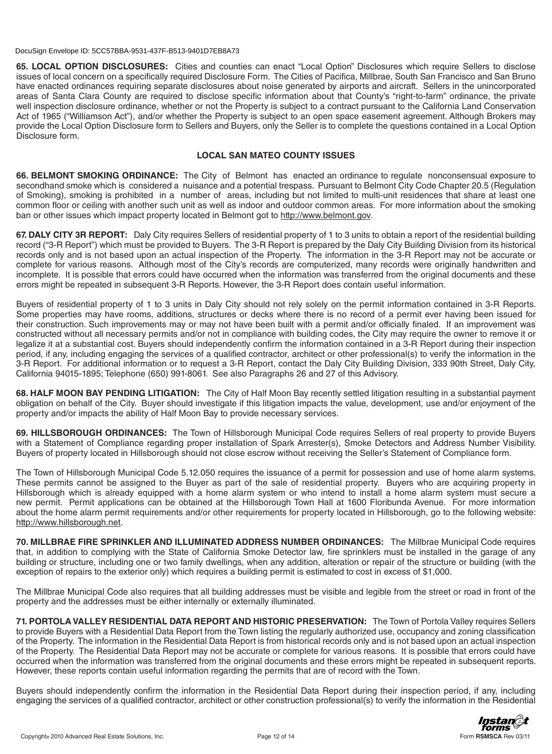**65. LOCAL OPTION DISCLOSURES:** Cities and counties can enact "Local Option" Disclosures which require Sellers to disclose issues of local concern on a specifically required Disclosure Form. The Cities of Pacifica, Millbrae, South San Francisco and San Bruno have enacted ordinances requiring separate disclosures about noise generated by airports and aircraft. Sellers in the unincorporated areas of Santa Clara County are required to disclose specific information about that County's "right-to-farm" ordinance, the private well inspection disclosure ordinance, whether or not the Property is subject to a contract pursuant to the California Land Conservation Act of 1965 ("Williamson Act"), and/or whether the Property is subject to an open space easement agreement. Although Brokers may provide the Local Option Disclosure form to Sellers and Buyers, only the Seller is to complete the questions contained in a Local Option Disclosure form.

## **LOCAL SAN MATEO COUNTY ISSUES**

**66. BELMONT SMOKING ORDINANCE:** The City of Belmont has enacted an ordinance to regulate nonconsensual exposure to secondhand smoke which is considered a nuisance and a potential trespass. Pursuant to Belmont City Code Chapter 20.5 (Regulation of Smoking), smoking is prohibited in a number of areas, including but not limited to multi-unit residences that share at least one common floor or ceiling with another such unit as well as indoor and outdoor common areas. For more information about the smoking ban or other issues which impact property located in Belmont got to http://www.belmont.gov.

**67. DALY CITY 3R REPORT:** Daly City requires Sellers of residential property of 1 to 3 units to obtain a report of the residential building record ("3-R Report") which must be provided to Buyers. The 3-R Report is prepared by the Daly City Building Division from its historical records only and is not based upon an actual inspection of the Property. The information in the 3-R Report may not be accurate or complete for various reasons. Although most of the City's records are computerized, many records were originally handwritten and incomplete. It is possible that errors could have occurred when the information was transferred from the original documents and these errors might be repeated in subsequent 3-R Reports. However, the 3-R Report does contain useful information.

Buyers of residential property of 1 to 3 units in Daly City should not rely solely on the permit information contained in 3-R Reports. Some properties may have rooms, additions, structures or decks where there is no record of a permit ever having been issued for their construction. Such improvements may or may not have been built with a permit and/or officially finaled. If an improvement was constructed without all necessary permits and/or not in compliance with building codes, the City may require the owner to remove it or legalize it at a substantial cost. Buyers should independently confirm the information contained in a 3-R Report during their inspection period, if any, including engaging the services of a qualified contractor, architect or other professional(s) to verify the information in the 3-R Report. For additional information or to request a 3-R Report, contact the Daly City Building Division, 333 90th Street, Daly City, California 94015-1895; Telephone (650) 991-8061. See also Paragraphs 26 and 27 of this Advisory.

**68. HALF MOON BAY PENDING LITIGATION:** The City of Half Moon Bay recently settled litigation resulting in a substantial payment obligation on behalf of the City. Buyer should investigate if this litigation impacts the value, development, use and/or enjoyment of the property and/or impacts the ability of Half Moon Bay to provide necessary services.

**69. HILLSBOROUGH ORDINANCES:** The Town of Hillsborough Municipal Code requires Sellers of real property to provide Buyers with a Statement of Compliance regarding proper installation of Spark Arrester(s), Smoke Detectors and Address Number Visibility. Buyers of property located in Hillsborough should not close escrow without receiving the Seller's Statement of Compliance form.

The Town of Hillsborough Municipal Code 5.12.050 requires the issuance of a permit for possession and use of home alarm systems. These permits cannot be assigned to the Buyer as part of the sale of residential property. Buyers who are acquiring property in Hillsborough which is already equipped with a home alarm system or who intend to install a home alarm system must secure a new permit. Permit applications can be obtained at the Hillsborough Town Hall at 1600 Floribunda Avenue. For more information about the home alarm permit requirements and/or other requirements for property located in Hillsborough, go to the following website: http://www.hillsborough.net.

**70. MILLBRAE FIRE SPRINKLER AND ILLUMINATED ADDRESS NUMBER ORDINANCES:** The Millbrae Municipal Code requires that, in addition to complying with the State of California Smoke Detector law, fire sprinklers must be installed in the garage of any building or structure, including one or two family dwellings, when any addition, alteration or repair of the structure or building (with the exception of repairs to the exterior only) which requires a building permit is estimated to cost in excess of \$1,000.

The Millbrae Municipal Code also requires that all building addresses must be visible and legible from the street or road in front of the property and the addresses must be either internally or externally illuminated.

**71. PORTOLA VALLEY RESIDENTIAL DATA REPORT AND HISTORIC PRESERVATION:** The Town of Portola Valley requires Sellers to provide Buyers with a Residential Data Report from the Town listing the regularly authorized use, occupancy and zoning classification of the Property. The information in the Residential Data Report is from historical records only and is not based upon an actual inspection of the Property. The Residential Data Report may not be accurate or complete for various reasons. It is possible that errors could have occurred when the information was transferred from the original documents and these errors might be repeated in subsequent reports. However, these reports contain useful information regarding the permits that are of record with the Town.

Buyers should independently confirm the information in the Residential Data Report during their inspection period, if any, including engaging the services of a qualified contractor, architect or other construction professional(s) to verify the information in the Residential

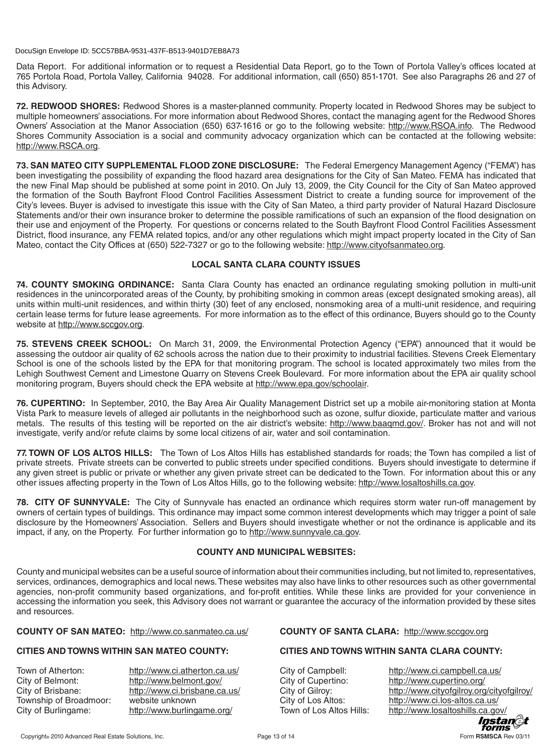Data Report. For additional information or to request a Residential Data Report, go to the Town of Portola Valley's offices located at 765 Portola Road, Portola Valley, California 94028. For additional information, call (650) 851-1701. See also Paragraphs 26 and 27 of this Advisory.

**72. REDWOOD SHORES:** Redwood Shores is a master-planned community. Property located in Redwood Shores may be subject to multiple homeowners' associations. For more information about Redwood Shores, contact the managing agent for the Redwood Shores Owners' Association at the Manor Association (650) 637-1616 or go to the following website: http://www.RSOA.info. The Redwood Shores Community Association is a social and community advocacy organization which can be contacted at the following website: http://www.RSCA.org.

**73. SAN MATEO CITY SUPPLEMENTAL FLOOD ZONE DISCLOSURE:** The Federal Emergency Management Agency ("FEMA") has been investigating the possibility of expanding the flood hazard area designations for the City of San Mateo. FEMA has indicated that the new Final Map should be published at some point in 2010. On July 13, 2009, the City Council for the City of San Mateo approved the formation of the South Bayfront Flood Control Facilities Assessment District to create a funding source for improvement of the City's levees. Buyer is advised to investigate this issue with the City of San Mateo, a third party provider of Natural Hazard Disclosure Statements and/or their own insurance broker to determine the possible ramifications of such an expansion of the flood designation on their use and enjoyment of the Property. For questions or concerns related to the South Bayfront Flood Control Facilities Assessment District, flood insurance, any FEMA related topics, and/or any other regulations which might impact property located in the City of San Mateo, contact the City Offices at (650) 522-7327 or go to the following website: http://www.cityofsanmateo.org.

# **LOCAL SANTA CLARA COUNTY ISSUES**

**74. COUNTY SMOKING ORDINANCE:** Santa Clara County has enacted an ordinance regulating smoking pollution in multi-unit residences in the unincorporated areas of the County, by prohibiting smoking in common areas (except designated smoking areas), all units within multi-unit residences, and within thirty (30) feet of any enclosed, nonsmoking area of a multi-unit residence, and requiring certain lease terms for future lease agreements. For more information as to the effect of this ordinance, Buyers should go to the County website at http://www.sccgov.org.

**75. STEVENS CREEK SCHOOL:** On March 31, 2009, the Environmental Protection Agency ("EPA") announced that it would be assessing the outdoor air quality of 62 schools across the nation due to their proximity to industrial facilities. Stevens Creek Elementary School is one of the schools listed by the EPA for that monitoring program. The school is located approximately two miles from the Lehigh Southwest Cement and Limestone Quarry on Stevens Creek Boulevard. For more information about the EPA air quality school monitoring program, Buyers should check the EPA website at http://www.epa.gov/schoolair.

**76. CUPERTINO:** In September, 2010, the Bay Area Air Quality Management District set up a mobile air-monitoring station at Monta Vista Park to measure levels of alleged air pollutants in the neighborhood such as ozone, sulfur dioxide, particulate matter and various metals. The results of this testing will be reported on the air district's website: http://www.baaqmd.gov/. Broker has not and will not investigate, verify and/or refute claims by some local citizens of air, water and soil contamination.

**77. TOWN OF LOS ALTOS HILLS:** The Town of Los Altos Hills has established standards for roads; the Town has compiled a list of private streets. Private streets can be converted to public streets under specified conditions. Buyers should investigate to determine if any given street is public or private or whether any given private street can be dedicated to the Town. For information about this or any other issues affecting property in the Town of Los Altos Hills, go to the following website: http://www.losaltoshills.ca.gov.

**78. CITY OF SUNNYVALE:** The City of Sunnyvale has enacted an ordinance which requires storm water run-off management by owners of certain types of buildings. This ordinance may impact some common interest developments which may trigger a point of sale disclosure by the Homeowners' Association. Sellers and Buyers should investigate whether or not the ordinance is applicable and its impact, if any, on the Property. For further information go to http://www.sunnyvale.ca.gov.

## **COUNTY AND MUNICIPAL WEBSITES:**

County and municipal websites can be a useful source of information about their communities including, but not limited to, representatives, services, ordinances, demographics and local news. These websites may also have links to other resources such as other governmental agencies, non-profit community based organizations, and for-profit entities. While these links are provided for your convenience in accessing the information you seek, this Advisory does not warrant or guarantee the accuracy of the information provided by these sites and resources.

## **COUNTY OF SAN MATEO:** http://www.co.sanmateo.ca.us/ **COUNTY OF SANTA CLARA:** http://www.sccgov.org

# **CITIES AND TOWNS WITHIN SAN MATEO COUNTY: CITIES AND TOWNS WITHIN SANTA CLARA COUNTY:**

City of Belmont: http://www.belmont.gov/ City of Cupertino: http://www.cupertino.org/ Township of Broadmoor: website unknown City of Los Altos: http://www.ci.los-altos.ca.us/

Town of Atherton: http://www.ci.atherton.ca.us/ City of Campbell: http://www.ci.campbell.ca.us/ City of Brisbane: http://www.ci.brisbane.ca.us/ City of Gilroy: http://www.cityofgilroy.org/cityofgilroy/ City of Burlingame: http://www.burlingame.org/ Town of Los Altos Hills: http://www.losaltoshills.ca.gov/ *Instan*